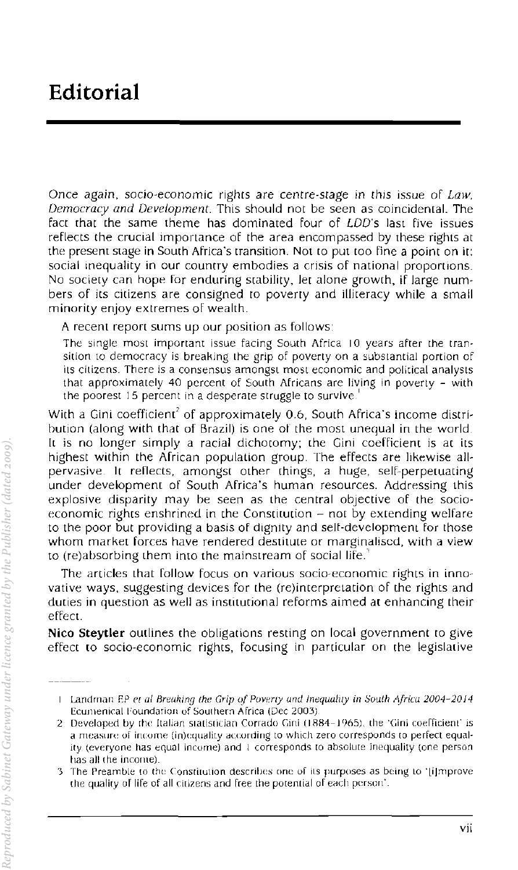Once again, socio-economic righrs are centre-stage in this issue of *Law, Democracy and Development.* This should not be seen as coincidental. The fact that the same theme has dominated four of LDD's last five issues reflects the crucial importance of the area encompassed by these rights at the present stage in South Africa's transition. Not to put too fine a point on it: social inequality in our country embodies a crisis of national proportions. No society can hope for enduring stability. let alone growth. if large numbers of its citizens are consigned to poverty and 1Iliteracy while a small minority enjoy extremes of wealth.

A recent report sums up our position as follows:

The single most important issue facing South Africa 10 years after the transition to democracy is breaking the grip of poverty on a substantial portion of its citizens. There is a consensus amongst most economic and political analysts that approximately 40 percent of South Africans are living in poverty - with the poorest 15 percent in a desperate struggle to survive.

With a Gini coefficient<sup>2</sup> of approximately 0.6, South Africa's income distribution (along with that of Brazil) is one of the most unequal in the world. It is no longer simply a racial dichotomy; the Gini coefficient is at its highest within the African population group. The effects are likewise allpervasive. It reflects, amongst other things, a huge, self-perpetuating under development of South Africa's human resources. Addressing this explosive disparity may be seen as the central objective of the socioeconomic rights enshrined in the Constitution  $-$  not by extending welfare to the poor but proViding a basis of dignity and selt-development for those whom market forces have rendered destitute or marginaliscd, with a view to (re)absorbing them into the mainstream of social life.·'

The articles that follow focus on various socio-economic rights in innovative ways, suggesting devices for the (re)interpretation of the rights and duties in question as well as institutional reforms aimed at enhancing their elfeet.

**Nico Steytler** outlines the obligations resting on local government to give effect to socio-economic rights. focusing in particular on the legislative

Landman EP f'[ (11 *Breaking the Grip oj POVf'rty and Inequality in South Africa* 20()4~20J4 Ecumenical Foundarion of Southern Africa (Dec 2003)

<sup>2</sup> Developed by the Italian statistician Corrado Gini (1884-1965), the 'Gini coefficient' is a measure of income (in)equality according to which zero corresponds to perfect equality (everyone has equal income) and 1 corresponds to absolute inequality (one person has all (he income)

<sup>&#</sup>x27;3 The Preamble (0 the Constilution descrilles one of ils purposes as being LO 'I,ilmprove the quality of life of all citizens and free the potential of each person'.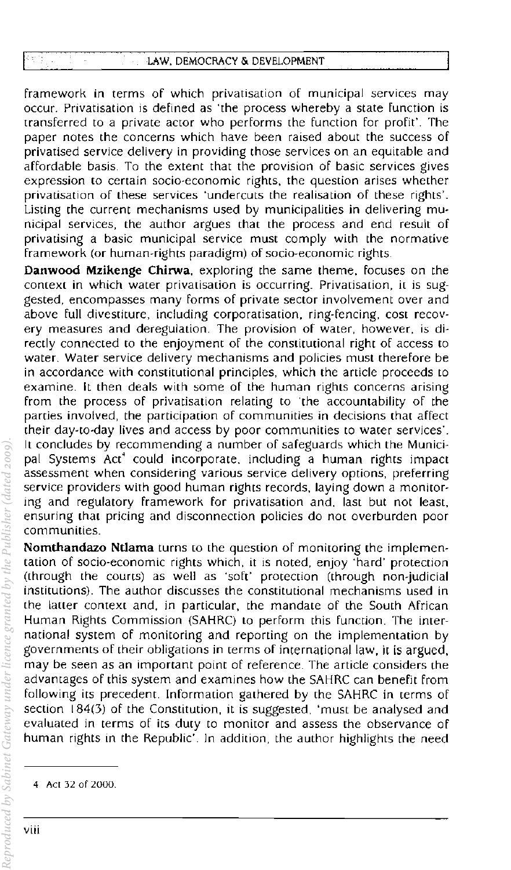framework in terms of which privatisation of municipal services may occur. Privatisation is defined as 'the process whereby a state function is transferred to a private actor who performs the function for profit'. The paper notes the concerns which have been raised about the success of privatised service delivery in providing those services on an equitable and affordable basis. To the extent that the provision of basic services gives expression to certain socia-economic rights. the question arises whether privatisation of these services 'undercuts the realisation of these rights'. Listing the current mechanisms used by municipalities in delivering mu~ nicipal services, the author argues that the process and end result of privatising a basic municipal service must comply with the normative framework (or human-rights paradigm) of socio-economic rights.

Danwood Mzikenge Chirwa, exploring the same theme, focuses on the context in which water privatisation is occurring. Privatisation, it is suggested, encompasses many forms of private sector involvement over and above full divestiture, including corporatisation, ring-fencing, cost recovery measures and deregulation. The provision of water, *however,* is directly connected to the enjoyment of the constitutional right of access to water. Water *service* delivery mechanisms and policies must therefore be in accordance with constitutional principles, which the article proceeds to examine. It then deals with some of the human rights concerns arising from the process of privatisation relating to 'the accountability of the parties *involved,* the participation of communities in decisions that affect their day-to-day lives and access by poor communities to water services'. It concludes by recommending a number of safeguards which the Municipal Systems Act' could incorporate, including a human rights impact assessment when considering various *service* delivery options, preferring *service* providers with good human rights records, laying down a monitoring and regulatory framework for privatisation and, last but not least, ensuring that pricing and disconnection policies do not overburden poor communities.

Nomthandazo Ntlama turns to the question of monitoring the implementation of socio-economic rights which, it is noted, enjoy "hard' protection (through the courts) as well as 'soft' protection (through non-judicial institutions). The author discusses the constitutional mechanisms used in the latter context and, in particular, the mandate of the South African Human Rights Commission (SAHRC) to perform this function. The international system of monitoring and reporting on the implementation by governments of their obligations in terms of international law, it is argued, may be seen as an important point of reference. The article considers the advantages of this system and examines how the SAHRC can benefit from following its precedent. Information gathered by the SAHRC in terms of section 184(3) of the Constitution, it is suggested. 'must be analysed and evaluated in terms of its duty to monitor and assess the observance of human rights in the Republic'. In addition, the author highlights the need *Reproduced by Sabinet Gateway under licence granted by the Publisher (dated 2009).*

Sabinet Gateway under licence granted by the Publisher (dated 2009)

<sup>4</sup> Act 32 of 2000.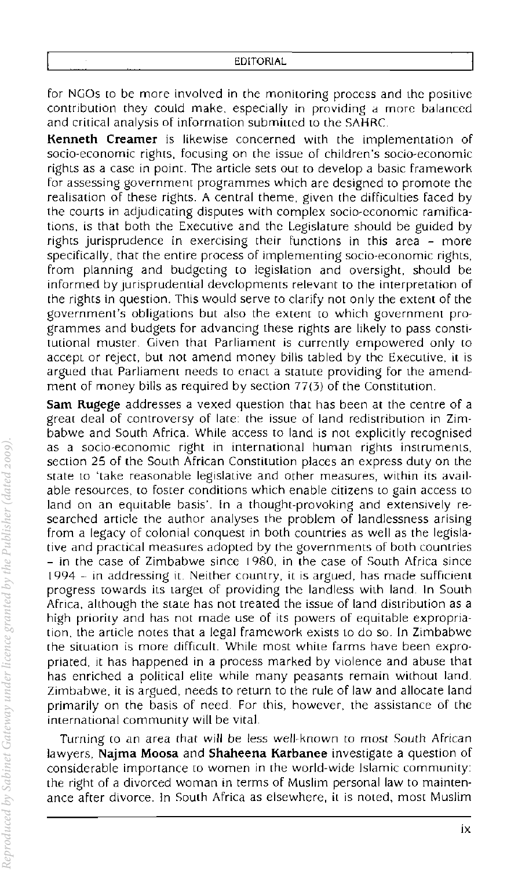for NGOs to be more involved in the monitoring process and the positive contribution they could make, especially in providing a more balanced and critical analysis of information submitted to the SAHRC.

**Kenneth Creamer** is likewise concerned with the implementation of socio~economic rights, focusing on (he issue of children's socio~economic rights as a case in point. The article sets out to develop a basic framework for assessing government programmes which are designed to promote the realisation of these rights. A central theme, given the difficulties faced by the courts in adjudicating disputes with complex socio~cconomic ramifications, is that both the Executive and thc Legislature should be guided by rights jurisprudence in exercising their functions in this area - more specifically, that the entire process of implementing socio-economic rights, from planning and budgcting to legislation and oversight, should be informed by jurisprudential developments relevant to the interpretation of the rights in question, This would serve to clarify not only the extent of the government's obligations but also the extent to which government programmes and budgets for advancing these rights are likely to pass consti, tutional muster. Given that Parliament is currently empowered only to accept or reject, but not amend money bills tabled by the Executive, it is argued that Parliament needs to enact a statute providing for the amendment of money bills as required by section  $77(3)$  of the Constitution.

Sam Rugege addresses a vexed question that has been at the centre of a great deal of controversy of late: the issue of land redistribution in Zim, babwe and South Africa. While access to land is not explicitly recognised as a socio-economic right in international human rights instruments, section 25 of the South African Constitution places an express duty on the state to 'take reasonable legislative and other measures, within its available resources, to foster conditions which enable citizens to gain access to land on an equitable basis'. In a thought-provoking and extensively researched article the author analyses the problem of landlessness arising from a legacy of colonial conquest in both countries as well as the legislative and practical measures adopted by the governments of both countries - in the case of Zimbabwe since [980, in (he case of South Africa since 1994 - in addressing it. Neither country, it is argued, has made sufficient progress towards its target of providing the landless with land. In South Africa, although the state has not treated the issue of land distribution as a high priority and has not made use of its powers of equitable expropriation, the article notes that a legal framework exists to do so. In Zimbabwe (he situation is more difficult. While most while farms have been expropriated, it has happened in a process marked by violence and abuse that has enriched a political eilte while many peasants remain without land. Zimbabwe, it is argued, needs to return to the rule of law and allocate land primarily on the basis of need. For this, however, the assistance of the international community will be vital.

Turning to an area that will be less well-known to most South African lawyers, **Najrna Moosa** and **Shaheena Karbanee** investigate a question of considerable importance to women in the world-wide Islamic community: the right of a divorced woman in terms of Muslim personal law to maintenance after divorce. In South Africa as elsewhere, it is noted, most Muslim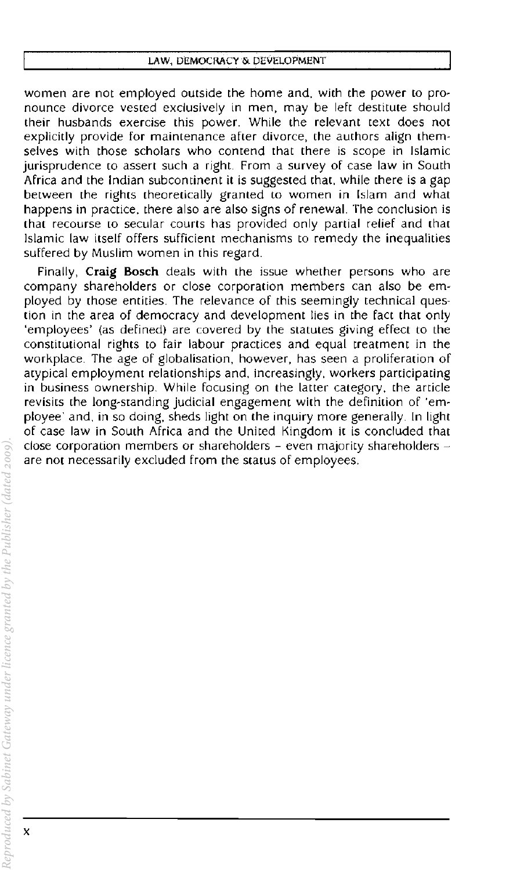women are not employed outside the home and, with the power to pronounce divorce vested exclusively in men, may be left destitute should **their husbands exercise this power. While the relevant text does not explicitly provide for maintenance after divorce, the authors align them· selves with those scholars who contend that there is scope in Islamic**  jurisprudence to assert such a right. From a survey of case law in South Africa and the Indian subcontinent it is suggested that, while there is a gap between the rights theoretically granted to women in Islam and what happens in practice, there also are also signs of renewal. The conclusion is that recourse to secular courts has provided only partial relief and that **Islamic law itself offers sufficient mechanisms to remedy the inequalities**  suffered by Muslim women in this regard.

Finally, **Craig Bosch** deals with the issue whether persons who are company shareholders or close corporation members can also be employed by those entities. The relevance of this seemingly technical question in the area of democracy and development lies in the fact that only 'employees' (as defined) are covered by the statutes giving effect to the **constitutional rights to fair labour practices and equal treatment in the**  workplace. The age of globalisation, however, has seen a proliferation of atypical employment relationships and, increasingly, workers participating in business ownership. While focusing on the latter category, the article **revisits the long-standing judicial engagement with the definition of 'em**ployee' and, in so doing, sheds light on the inquiry more generally. **In** light of case law in South Africa and the United Kingdom it is concluded that **close corporation members or shareholders - even majority shareholders are not necessarily excluded from the status of employees.**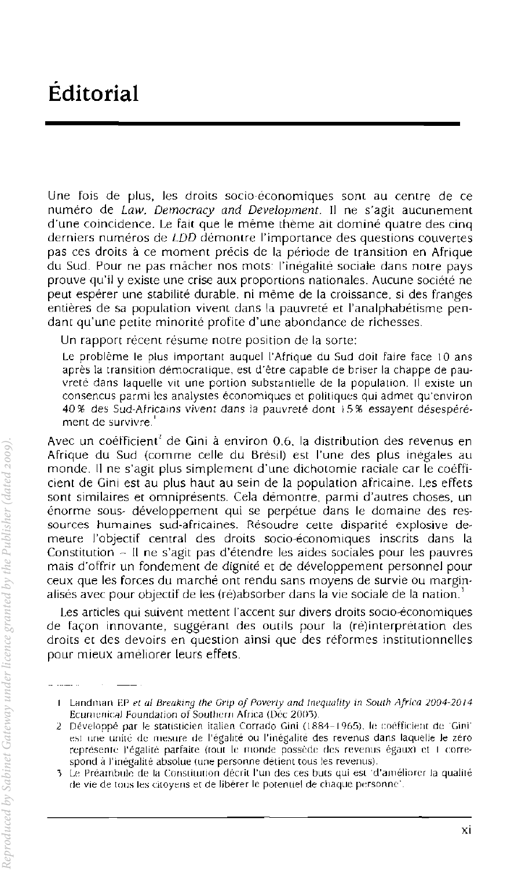Une fois de plus, les droits socio-économiques sont au centre de ce numero de *Law, Democracy and Development.* II ne s'agit aucunement d'une coincidence. Le fait que Ie meme theme ait domine quatre des cinq derniers numéros de LDD démontre l'importance des questions couvertes pas ces droits à ce moment précis de la période de transition en Afrique du Sud. Pour ne pas macher nos mots: l'inegalite sociale dans notre pays prouve qu'iI y existe une crise aux proportions nationales. Aueune societe ne peut espérer une stabilité durable, ni même de la croissance, si des franges entières de sa population vivent dans la pauvreté et l'analphabétisme pendant qu'une petite minorité profite d'une abondance de richesses.

Un rapport recent resume notre position de la sorte:

Le problème le plus important auquel l'Afrique du Sud doit faire face 10 ans après la transition démocratique, est d'être capable de briser la chappe de pauvrete dans laquelle vit une portion substantielle de la population. II existe un consencus parmi les analystes économiques et politiques qui admet qu'environ 40 % des Sud-Atricams vivent dans la pauvrete dont ! 5 % essayent desesperement de survivre.'

Avec un coerficienr' de Gini a environ 0,6. la distribution des revenus en Afrique du Sud (comme celie du Bresil) est I'une des plus inegales au monde, II ne s'agit plus simplement d'une dichotomie raciale car Ie coefficient de Gini est au plus haut au sein de la population africaine. Les effets sont similaires et omniprésents. Cela démontre, parmi d'autres choses, un enorme sous- developpement qui se perpetue dans Ie domaine des ressources humaines sud-africaines. Resoudre cette disparite explosive demeure l'objectif central des droits socio-economiques inscrits dans la Constitution - II ne s'agit pas d'etendre les aides sociales pour les pauvres mais d'offrir un fandement de dignite et de develappement personnel pour ceux que les forces du marche ont rendu sans moyens de survie ou marginalisés avec pour objectif de les (ré)absorber dans la vie sociale de la nation.<sup>1</sup>

Les articles qui suivent mettent I'accent sur divers droits soclo-economiques de façon innovante, suggérant des outils pour la (ré)interprétation des droits et des devoirs en question ainsi que des réformes institutionnelles pour mieux améliorer leurs effets.

I Landman EP et al Breaking the Grip of Poverty and Inequality in South Africa 2004-2014 Ecumenical Foundation of Southern Africa (Dec 2003)

<sup>2</sup> Développé par le statisticien italien Corrado Gini (1884-1965), le coéfficient de 'Gini' est une unité de mesure de l'égalité ou l'inégalité des revenus dans laquelle le zéro représente l'égalité parfaite (tout le monde possède des revenus égaux) et I correspond à l'inégalité absolue (une personne détient tous les revenus).

<sup>3</sup> Le Préambule de la Constitution décrit l'un des ces buts qui est 'd'améliorer la qualité de vie de tous les citoyens et de libérer le potentiel de chaque personne'.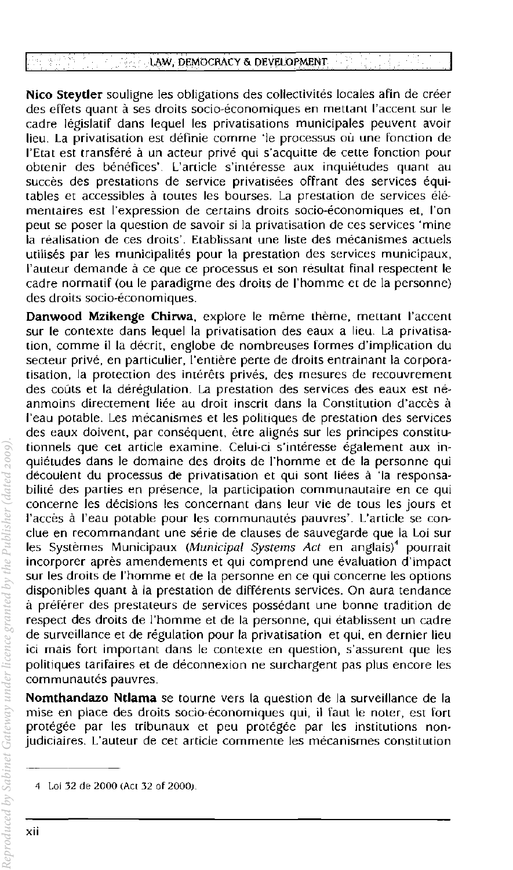## LAW, DEMOCRACY 6< DEVELOPMENT

Nico Steytler souligne les obligations des collectivités locales afin de créer des effets quant à ses droits socio-économiques en mettant l'accent sur le cadre législatif dans lequel les privatisations municipales peuvent avoir lieu. La privatisation est définie comme 'le processus où une fonction de l'Etat est transféré à un acteur privé qui s'acquitte de cette fonction pour obtenir des bénéfices'. L'article s'intéresse aux inquiétudes quant au succès des prestations de service privatisées offrant des services équitables et accessibles à toutes les bourses. La prestation de services élémentaires est l'expression de certains droits socio-économiques et, l'on peut se poser la question de savoir si la privatisation de ces services 'mine la réalisation de ces droits'. Etablissant une liste des mécanismes actuels utilises par \es municipa\ites pour la prestation des services municipaux, l'auteur demande à ce que ce processus et son résultat final respectent le cadre normatif (ou Ie paradigme des droits de I'homme et de la personnel des droits socio-économiques.

Danwood Mzikenge Chirwa, explore le même thème, mettant l'accent sur Ie contexte dans lequel la privatisation des eaux a lieu. La privatisation, comme iI la decrit, englobe de nombreuses formes d'implication du secteur privé, en particulier, l'entière perte de droits entrainant la corporatisation, la protection des intérêts privés, des mesures de recouvrement des coûts et la dérégulation. La prestation des services des eaux est néanmoins directement liee au droit inscrit dans la Constitution d'acces a I'eau potable. Les mecanismes et les politiques de prestation des services des eaux doivent, par consequent, etre alignes sur les principes constitutionnels que cet article examine. Celui-ci s'intéresse également aux inquietudes dans Ie domaine des droits de l"homme et de la personne qui découlent du processus de privatisation et qui sont liées à 'la responsabilité des parties en présence, la participation communautaire en ce qui concerne les décisions les concernant dans leur vie de tous les jours et I'acces a I'eau potable pour les communautes pauvres'. L'article se conclue en recommandant une serie de clauses de sauvegarde que la Loi sur les Systèmes Municipaux (Municipal Systems Act en anglais)<sup>4</sup> pourrait incorporer après amendements et qui comprend une evaluation d'impact sur les droits de l'homme et de la personne en ce qUi concerne les options disponibles quant à la prestation de différents services. On aura tendance a preferer des prestateurs de services possedant une bonne tradition de respect des droits de l'homme et de la personne, qui etablissent un cadre de surveillance et de régulation pour la privatisation et qui, en dernier lieu ici mais fort important dans Ie contexte en question, s'assurent que les politiques tarifaires et de deconnexion ne surchargent pas plus encore les communautés pauvres.

Nomthandazo Ntlama se tourne vers la question de la surveillance de la mise en place des droits socio-economiques qui, iI faut Ie noter, est fort protégée par les tribunaux et peu protégée par les institutions nonjudiciaires. L'auteur de cet article commente les mecanismes constitution

<sup>4</sup> Loi 32 de 2000 (Act 32 of 2000).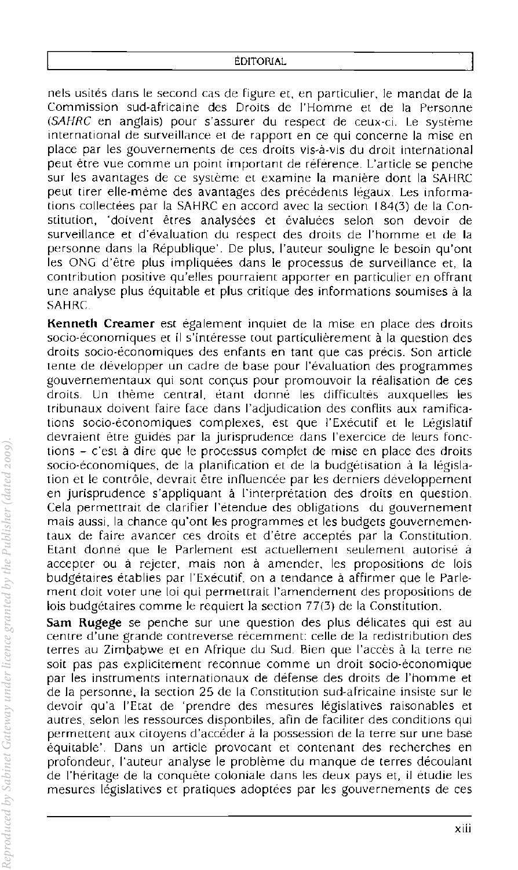nels usites dans Ie second cas de figure et. en particulier, Ie mandat de Ja Commission sud-africaine des Droits de l'Homme et de la Personne (SAHRC en anglais) pour s'assurer du respect de ceux-ci. Le systeme international de surveillance et de rapport en ce qui concerne la mise en place par les gouvernements de ces droits vis-a-vis du droit international peut etre vue comme un point important de reference. L'article se penche sur les avantages de ce système et examine la manière dont la SAHRC peut tirer elle-mème des avantages des précédents légaux. Les informations collectees par la SAHRC en accord avec la section 184(3) de la Constitution, 'doivent êtres analysées et évaluées selon son devoir de surveillance et d'evaiuation du respect des droits de I'homme et de la personne dans la Republique'. De plus, I'auteur soullgne Ie besoin qu'ont les ONG d'être plus impliquées dans le processus de surveillance et, la contribution positive qu'elles pourraiem apporter en particulier en offrant une analyse plus equitable et plus critique des informations soumises a la SAHRC

**Kenneth Creamer** est egalement inquiet de la mise en place des droits socio-économiques et il s'intéresse tout particulièrement à la question des droits socio-economiques des enfants en tant que cas precis. Son article tente de deveiopper un cadre de base pour l'evaluation des programmes gouvernementaux qui sont conyus pour promouvoir la realisation de ces droits. Un thème central, étant donné les difficultés auxquelles les tribunaux doivent faire face dans l'adjudication des confiits aux ramifications socio-economiques complexes, est que I'Executif et Ie Legislatif devraient etre guides par 1a jurisprudence dans I'exercice de leurs fonctions - c'est a dire que Ie processus complet de mise en place des droits socio-economiques, de la planification et de la budgetisation a la legislation et le contrôle, devrait être influencée par les derniers développement en jurisprudence s'appliquant a I'interpretation des droits en question. Cela permettrait de clarifier l'étendue des obligations du gouvernement mais aussi, la chance qu'ont les programmes et les budgets gouvernementaux de faire avancer ces droits et d'etre acceptes par 1a Constitution. Etant donne que Ie Parlement est actuellement seulement autorise a accepter ou à rejeter, mais non à amender, les propositions de lois budgétaires établies par l'Exécutif, on a tendance à affirmer que le Parlement doit voter une loi qui permettrait l'amendement des propositions de lois budgetaires comme Ie requiert la section 77(3) de la Constitution.

Sam Rugege se penche sur une question des plus délicates qui est au centre d'une grande contreverse recemment: celie de la redistribution des terres au Zimbabwe et en Afrique du Sud. Bien que l'acces a la terre ne soit pas pas explicitement reconnue comme un droit socio-economique par les instruments internationaux de defense des droits de l'homme et de la personne, la section 25 de la Constitution sud-africaine insiste sur Ie devoir qu'a l'Etat de 'prendre des mesures legislatives raisonables et aucres, selon les ressources disponbiles, afin de faciliter des conditions qui permettent aux citoyens d'accéder à la possession de la terre sur une base equitable'. Dans un arcicle provocant et contenant des recherches en profondeur, I'auteur analyse Ie probleme du manque de terres decoulanr de I'heritage de la conquete coloniale dans les deux pays et, il etudie les mesures legislatives ec pratiques adoptees par les gouvernements de ces